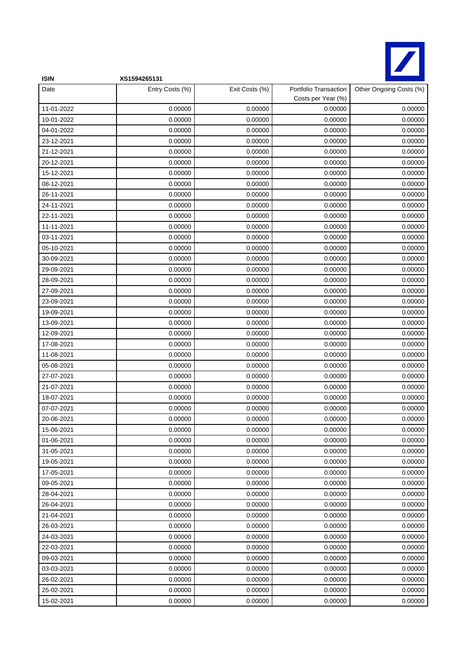

| <b>ISIN</b> | XS1594265131    |                |                                             |                         |
|-------------|-----------------|----------------|---------------------------------------------|-------------------------|
| Date        | Entry Costs (%) | Exit Costs (%) | Portfolio Transaction<br>Costs per Year (%) | Other Ongoing Costs (%) |
| 11-01-2022  | 0.00000         | 0.00000        | 0.00000                                     | 0.00000                 |
| 10-01-2022  | 0.00000         | 0.00000        | 0.00000                                     | 0.00000                 |
| 04-01-2022  | 0.00000         | 0.00000        | 0.00000                                     | 0.00000                 |
| 23-12-2021  | 0.00000         | 0.00000        | 0.00000                                     | 0.00000                 |
| 21-12-2021  | 0.00000         | 0.00000        | 0.00000                                     | 0.00000                 |
| 20-12-2021  | 0.00000         | 0.00000        | 0.00000                                     | 0.00000                 |
| 15-12-2021  | 0.00000         | 0.00000        | 0.00000                                     | 0.00000                 |
| 08-12-2021  | 0.00000         | 0.00000        | 0.00000                                     | 0.00000                 |
| 26-11-2021  | 0.00000         | 0.00000        | 0.00000                                     | 0.00000                 |
| 24-11-2021  | 0.00000         | 0.00000        | 0.00000                                     | 0.00000                 |
| 22-11-2021  | 0.00000         | 0.00000        | 0.00000                                     | 0.00000                 |
| 11-11-2021  | 0.00000         | 0.00000        | 0.00000                                     | 0.00000                 |
| 03-11-2021  | 0.00000         | 0.00000        | 0.00000                                     | 0.00000                 |
| 05-10-2021  | 0.00000         | 0.00000        | 0.00000                                     | 0.00000                 |
| 30-09-2021  | 0.00000         | 0.00000        | 0.00000                                     | 0.00000                 |
| 29-09-2021  | 0.00000         | 0.00000        | 0.00000                                     | 0.00000                 |
| 28-09-2021  | 0.00000         | 0.00000        | 0.00000                                     | 0.00000                 |
| 27-09-2021  | 0.00000         | 0.00000        | 0.00000                                     | 0.00000                 |
| 23-09-2021  | 0.00000         | 0.00000        | 0.00000                                     | 0.00000                 |
| 19-09-2021  | 0.00000         | 0.00000        | 0.00000                                     | 0.00000                 |
| 13-09-2021  | 0.00000         | 0.00000        | 0.00000                                     | 0.00000                 |
| 12-09-2021  | 0.00000         | 0.00000        | 0.00000                                     | 0.00000                 |
| 17-08-2021  | 0.00000         | 0.00000        | 0.00000                                     | 0.00000                 |
| 11-08-2021  | 0.00000         | 0.00000        | 0.00000                                     | 0.00000                 |
| 05-08-2021  | 0.00000         | 0.00000        | 0.00000                                     | 0.00000                 |
| 27-07-2021  | 0.00000         | 0.00000        | 0.00000                                     | 0.00000                 |
| 21-07-2021  | 0.00000         | 0.00000        | 0.00000                                     | 0.00000                 |
| 18-07-2021  | 0.00000         | 0.00000        | 0.00000                                     | 0.00000                 |
| 07-07-2021  | 0.00000         | 0.00000        | 0.00000                                     | 0.00000                 |
| 20-06-2021  | 0.00000         | 0.00000        | 0.00000                                     | 0.00000                 |
| 15-06-2021  | 0.00000         | 0.00000        | 0.00000                                     | 0.00000                 |
| 01-06-2021  | 0.00000         | 0.00000        | 0.00000                                     | 0.00000                 |
| 31-05-2021  | 0.00000         | 0.00000        | 0.00000                                     | 0.00000                 |
| 19-05-2021  | 0.00000         | 0.00000        | 0.00000                                     | 0.00000                 |
| 17-05-2021  | 0.00000         | 0.00000        | 0.00000                                     | 0.00000                 |
| 09-05-2021  | 0.00000         | 0.00000        | 0.00000                                     | 0.00000                 |
| 28-04-2021  | 0.00000         | 0.00000        | 0.00000                                     | 0.00000                 |
| 26-04-2021  | 0.00000         | 0.00000        | 0.00000                                     | 0.00000                 |
| 21-04-2021  | 0.00000         | 0.00000        | 0.00000                                     | 0.00000                 |
| 26-03-2021  | 0.00000         | 0.00000        | 0.00000                                     | 0.00000                 |
| 24-03-2021  | 0.00000         | 0.00000        | 0.00000                                     | 0.00000                 |
| 22-03-2021  | 0.00000         | 0.00000        | 0.00000                                     | 0.00000                 |
| 09-03-2021  | 0.00000         | 0.00000        | 0.00000                                     | 0.00000                 |
| 03-03-2021  | 0.00000         | 0.00000        | 0.00000                                     | 0.00000                 |
| 26-02-2021  | 0.00000         | 0.00000        | 0.00000                                     | 0.00000                 |
| 25-02-2021  | 0.00000         | 0.00000        | 0.00000                                     | 0.00000                 |
| 15-02-2021  | 0.00000         | 0.00000        | 0.00000                                     | 0.00000                 |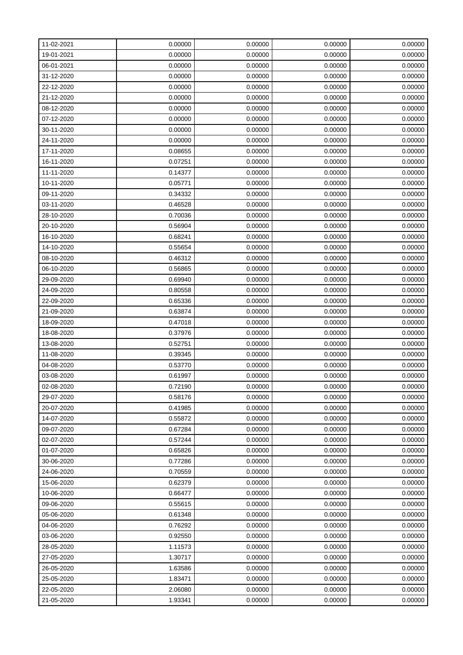| 11-02-2021 | 0.00000 | 0.00000 | 0.00000 | 0.00000 |
|------------|---------|---------|---------|---------|
| 19-01-2021 | 0.00000 | 0.00000 | 0.00000 | 0.00000 |
| 06-01-2021 | 0.00000 | 0.00000 | 0.00000 | 0.00000 |
| 31-12-2020 | 0.00000 | 0.00000 | 0.00000 | 0.00000 |
| 22-12-2020 | 0.00000 | 0.00000 | 0.00000 | 0.00000 |
| 21-12-2020 | 0.00000 | 0.00000 | 0.00000 | 0.00000 |
| 08-12-2020 | 0.00000 | 0.00000 | 0.00000 | 0.00000 |
| 07-12-2020 | 0.00000 | 0.00000 | 0.00000 | 0.00000 |
| 30-11-2020 | 0.00000 | 0.00000 | 0.00000 | 0.00000 |
| 24-11-2020 | 0.00000 | 0.00000 | 0.00000 | 0.00000 |
| 17-11-2020 | 0.08655 | 0.00000 | 0.00000 | 0.00000 |
| 16-11-2020 | 0.07251 | 0.00000 | 0.00000 | 0.00000 |
| 11-11-2020 | 0.14377 | 0.00000 | 0.00000 | 0.00000 |
| 10-11-2020 | 0.05771 | 0.00000 | 0.00000 | 0.00000 |
| 09-11-2020 | 0.34332 | 0.00000 | 0.00000 | 0.00000 |
| 03-11-2020 | 0.46528 | 0.00000 | 0.00000 | 0.00000 |
| 28-10-2020 | 0.70036 | 0.00000 | 0.00000 | 0.00000 |
| 20-10-2020 | 0.56904 | 0.00000 | 0.00000 | 0.00000 |
| 16-10-2020 | 0.68241 | 0.00000 | 0.00000 | 0.00000 |
| 14-10-2020 | 0.55654 | 0.00000 | 0.00000 | 0.00000 |
| 08-10-2020 | 0.46312 | 0.00000 | 0.00000 | 0.00000 |
| 06-10-2020 | 0.56865 | 0.00000 | 0.00000 | 0.00000 |
| 29-09-2020 | 0.69940 | 0.00000 | 0.00000 | 0.00000 |
| 24-09-2020 | 0.80558 | 0.00000 | 0.00000 | 0.00000 |
| 22-09-2020 | 0.65336 | 0.00000 | 0.00000 | 0.00000 |
| 21-09-2020 | 0.63874 | 0.00000 | 0.00000 | 0.00000 |
| 18-09-2020 | 0.47018 | 0.00000 | 0.00000 | 0.00000 |
| 18-08-2020 | 0.37976 | 0.00000 | 0.00000 | 0.00000 |
| 13-08-2020 | 0.52751 | 0.00000 | 0.00000 | 0.00000 |
| 11-08-2020 | 0.39345 | 0.00000 | 0.00000 | 0.00000 |
| 04-08-2020 | 0.53770 | 0.00000 | 0.00000 | 0.00000 |
| 03-08-2020 | 0.61997 | 0.00000 | 0.00000 | 0.00000 |
| 02-08-2020 | 0.72190 | 0.00000 | 0.00000 | 0.00000 |
| 29-07-2020 | 0.58176 | 0.00000 | 0.00000 | 0.00000 |
| 20-07-2020 | 0.41985 | 0.00000 | 0.00000 | 0.00000 |
| 14-07-2020 | 0.55872 | 0.00000 | 0.00000 | 0.00000 |
| 09-07-2020 | 0.67284 | 0.00000 | 0.00000 | 0.00000 |
| 02-07-2020 | 0.57244 | 0.00000 | 0.00000 | 0.00000 |
| 01-07-2020 | 0.65826 | 0.00000 | 0.00000 | 0.00000 |
| 30-06-2020 | 0.77286 | 0.00000 | 0.00000 | 0.00000 |
| 24-06-2020 | 0.70559 | 0.00000 | 0.00000 | 0.00000 |
| 15-06-2020 | 0.62379 | 0.00000 | 0.00000 | 0.00000 |
| 10-06-2020 | 0.66477 | 0.00000 | 0.00000 | 0.00000 |
| 09-06-2020 | 0.55615 | 0.00000 | 0.00000 | 0.00000 |
| 05-06-2020 | 0.61348 | 0.00000 | 0.00000 | 0.00000 |
| 04-06-2020 | 0.76292 | 0.00000 | 0.00000 | 0.00000 |
| 03-06-2020 | 0.92550 | 0.00000 | 0.00000 | 0.00000 |
| 28-05-2020 | 1.11573 | 0.00000 | 0.00000 | 0.00000 |
| 27-05-2020 | 1.30717 | 0.00000 | 0.00000 | 0.00000 |
| 26-05-2020 | 1.63586 | 0.00000 | 0.00000 | 0.00000 |
| 25-05-2020 | 1.83471 | 0.00000 | 0.00000 | 0.00000 |
| 22-05-2020 | 2.06080 | 0.00000 | 0.00000 | 0.00000 |
| 21-05-2020 | 1.93341 | 0.00000 | 0.00000 | 0.00000 |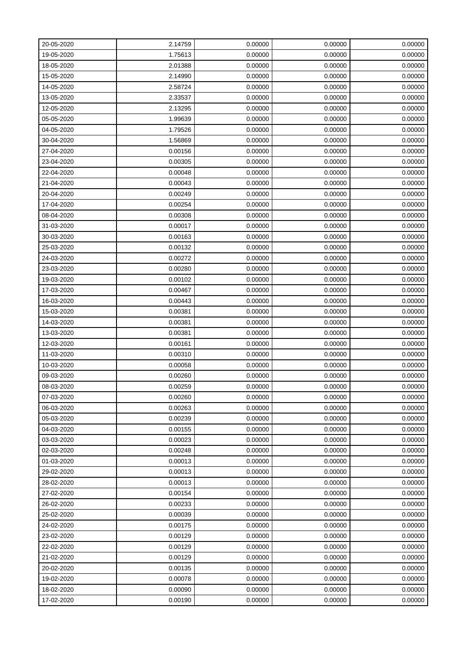| 20-05-2020 | 2.14759 | 0.00000 | 0.00000 | 0.00000 |
|------------|---------|---------|---------|---------|
| 19-05-2020 | 1.75613 | 0.00000 | 0.00000 | 0.00000 |
| 18-05-2020 | 2.01388 | 0.00000 | 0.00000 | 0.00000 |
| 15-05-2020 | 2.14990 | 0.00000 | 0.00000 | 0.00000 |
| 14-05-2020 | 2.58724 | 0.00000 | 0.00000 | 0.00000 |
| 13-05-2020 | 2.33537 | 0.00000 | 0.00000 | 0.00000 |
| 12-05-2020 | 2.13295 | 0.00000 | 0.00000 | 0.00000 |
| 05-05-2020 | 1.99639 | 0.00000 | 0.00000 | 0.00000 |
| 04-05-2020 | 1.79526 | 0.00000 | 0.00000 | 0.00000 |
| 30-04-2020 | 1.56869 | 0.00000 | 0.00000 | 0.00000 |
| 27-04-2020 | 0.00156 | 0.00000 | 0.00000 | 0.00000 |
| 23-04-2020 | 0.00305 | 0.00000 | 0.00000 | 0.00000 |
| 22-04-2020 | 0.00048 | 0.00000 | 0.00000 | 0.00000 |
| 21-04-2020 | 0.00043 | 0.00000 | 0.00000 | 0.00000 |
| 20-04-2020 | 0.00249 | 0.00000 | 0.00000 | 0.00000 |
| 17-04-2020 | 0.00254 | 0.00000 | 0.00000 | 0.00000 |
| 08-04-2020 | 0.00308 | 0.00000 | 0.00000 | 0.00000 |
| 31-03-2020 | 0.00017 | 0.00000 | 0.00000 | 0.00000 |
| 30-03-2020 | 0.00163 | 0.00000 | 0.00000 | 0.00000 |
| 25-03-2020 | 0.00132 | 0.00000 | 0.00000 | 0.00000 |
| 24-03-2020 | 0.00272 | 0.00000 | 0.00000 | 0.00000 |
| 23-03-2020 | 0.00280 | 0.00000 | 0.00000 | 0.00000 |
| 19-03-2020 | 0.00102 | 0.00000 | 0.00000 | 0.00000 |
| 17-03-2020 | 0.00467 | 0.00000 | 0.00000 | 0.00000 |
| 16-03-2020 | 0.00443 | 0.00000 | 0.00000 | 0.00000 |
| 15-03-2020 | 0.00381 | 0.00000 | 0.00000 | 0.00000 |
| 14-03-2020 | 0.00381 | 0.00000 | 0.00000 | 0.00000 |
| 13-03-2020 | 0.00381 | 0.00000 | 0.00000 | 0.00000 |
| 12-03-2020 | 0.00161 | 0.00000 | 0.00000 | 0.00000 |
| 11-03-2020 | 0.00310 | 0.00000 | 0.00000 | 0.00000 |
| 10-03-2020 | 0.00058 | 0.00000 | 0.00000 | 0.00000 |
| 09-03-2020 | 0.00260 | 0.00000 | 0.00000 | 0.00000 |
| 08-03-2020 | 0.00259 | 0.00000 | 0.00000 | 0.00000 |
| 07-03-2020 | 0.00260 | 0.00000 | 0.00000 | 0.00000 |
| 06-03-2020 | 0.00263 | 0.00000 | 0.00000 | 0.00000 |
| 05-03-2020 | 0.00239 | 0.00000 | 0.00000 | 0.00000 |
| 04-03-2020 | 0.00155 | 0.00000 | 0.00000 | 0.00000 |
| 03-03-2020 | 0.00023 | 0.00000 | 0.00000 | 0.00000 |
| 02-03-2020 | 0.00248 | 0.00000 | 0.00000 | 0.00000 |
| 01-03-2020 | 0.00013 | 0.00000 | 0.00000 | 0.00000 |
| 29-02-2020 | 0.00013 | 0.00000 | 0.00000 | 0.00000 |
| 28-02-2020 | 0.00013 | 0.00000 | 0.00000 | 0.00000 |
| 27-02-2020 | 0.00154 | 0.00000 | 0.00000 | 0.00000 |
| 26-02-2020 | 0.00233 | 0.00000 | 0.00000 | 0.00000 |
| 25-02-2020 | 0.00039 | 0.00000 | 0.00000 | 0.00000 |
| 24-02-2020 | 0.00175 | 0.00000 | 0.00000 | 0.00000 |
| 23-02-2020 | 0.00129 | 0.00000 | 0.00000 | 0.00000 |
| 22-02-2020 | 0.00129 | 0.00000 | 0.00000 | 0.00000 |
| 21-02-2020 | 0.00129 | 0.00000 | 0.00000 | 0.00000 |
| 20-02-2020 | 0.00135 | 0.00000 | 0.00000 | 0.00000 |
| 19-02-2020 | 0.00078 | 0.00000 | 0.00000 | 0.00000 |
| 18-02-2020 | 0.00090 | 0.00000 | 0.00000 | 0.00000 |
| 17-02-2020 | 0.00190 | 0.00000 | 0.00000 | 0.00000 |